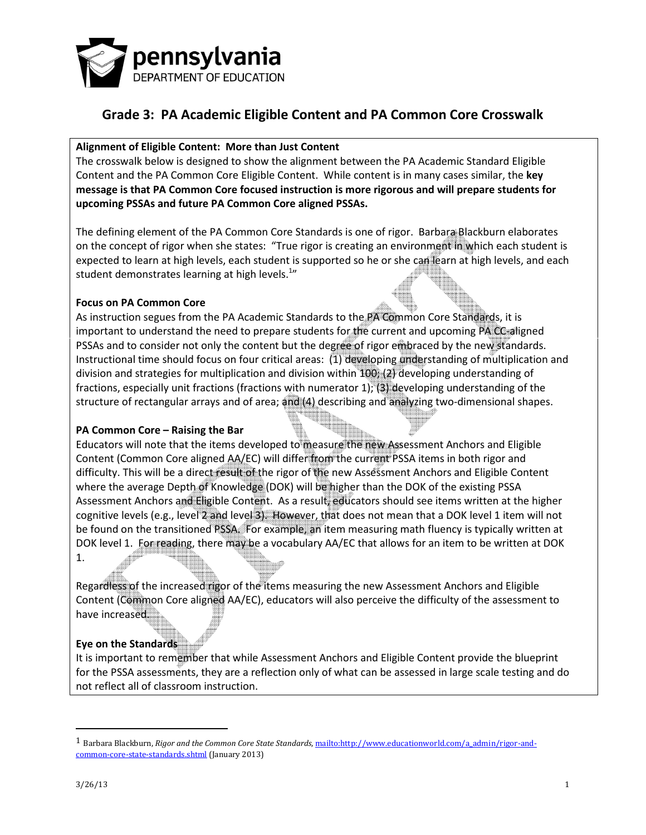

#### Alignment of Eligible Content: More than Just Content

The crosswalk below is designed to show the alignment between the PA Academic Standard Eligible Content and the PA Common Core Eligible Content. While content is in many cases similar, the key message is that PA Common Core focused instruction is more rigorous and will prepare students for upcoming PSSAs and future PA Common Core aligned PSSAs.

The defining element of the PA Common Core Standards is one of rigor. Barbara Blackburn elaborates on the concept of rigor when she states: "True rigor is creating an environment in which each student is expected to learn at high levels, each student is supported so he or she can learn at high levels, and each student demonstrates learning at high levels. $^{1n}$ 

#### Focus on PA Common Core

As instruction segues from the PA Academic Standards to the PA Common Core Standards, it is important to understand the need to prepare students for the current and upcoming PA CC-aligned PSSAs and to consider not only the content but the degree of rigor embraced by the new standards. Instructional time should focus on four critical areas: (1) developing understanding of multiplication and division and strategies for multiplication and division within 100; (2) developing understanding of fractions, especially unit fractions (fractions with numerator 1); (3) developing understanding of the structure of rectangular arrays and of area; and (4) describing and analyzing two-dimensional shapes.

#### PA Common Core – Raising the Bar

Educators will note that the items developed to measure the new Assessment Anchors and Eligible Content (Common Core aligned AA/EC) will differ from the current PSSA items in both rigor and difficulty. This will be a direct result of the rigor of the new Assessment Anchors and Eligible Content where the average Depth of Knowledge (DOK) will be higher than the DOK of the existing PSSA Assessment Anchors and Eligible Content. As a result, educators should see items written at the higher cognitive levels (e.g., level 2 and level 3). However, that does not mean that a DOK level 1 item will not be found on the transitioned PSSA. For example, an item measuring math fluency is typically written at DOK level 1. For reading, there may be a vocabulary AA/EC that allows for an item to be written at DOK 1.

Regardless of the increased rigor of the items measuring the new Assessment Anchors and Eligible Content (Common Core aligned AA/EC), educators will also perceive the difficulty of the assessment to have increased.

#### Eye on the Standards

It is important to remember that while Assessment Anchors and Eligible Content provide the blueprint for the PSSA assessments, they are a reflection only of what can be assessed in large scale testing and do not reflect all of classroom instruction.

 $\overline{a}$ 

<sup>&</sup>lt;sup>1</sup> Barbara Blackburn, Rigor and the Common Core State Standards, mailto:http://www.educationworld.com/a\_admin/rigor-andcommon-core-state-standards.shtml (January 2013)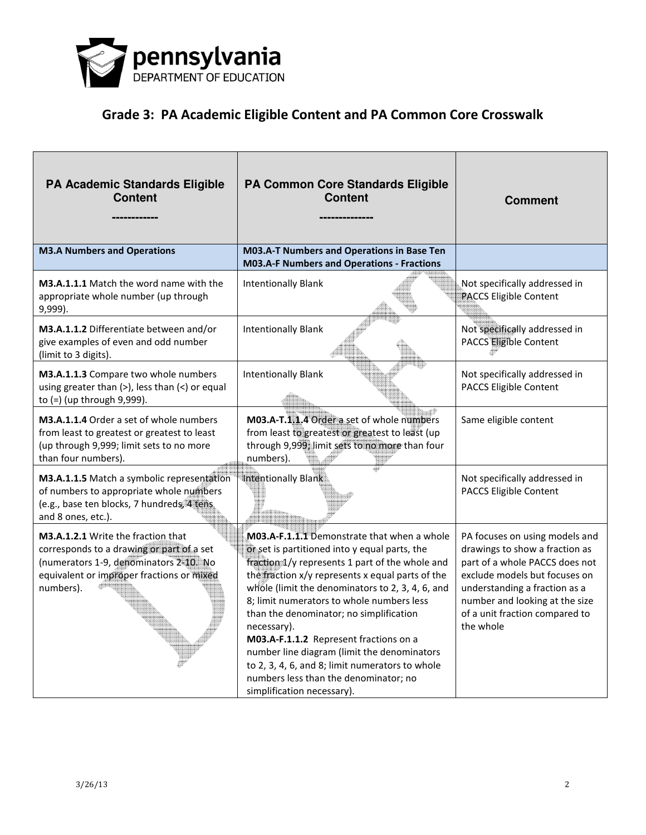

| PA Academic Standards Eligible<br><b>Content</b>                                                                                                                                    | PA Common Core Standards Eligible<br><b>Content</b>                                                                                                                                                                                                                                                                                                                                                                                                                                                                                                                               | <b>Comment</b>                                                                                                                                                                                                                                        |
|-------------------------------------------------------------------------------------------------------------------------------------------------------------------------------------|-----------------------------------------------------------------------------------------------------------------------------------------------------------------------------------------------------------------------------------------------------------------------------------------------------------------------------------------------------------------------------------------------------------------------------------------------------------------------------------------------------------------------------------------------------------------------------------|-------------------------------------------------------------------------------------------------------------------------------------------------------------------------------------------------------------------------------------------------------|
| <b>M3.A Numbers and Operations</b>                                                                                                                                                  | M03.A-T Numbers and Operations in Base Ten<br><b>M03.A-F Numbers and Operations - Fractions</b>                                                                                                                                                                                                                                                                                                                                                                                                                                                                                   |                                                                                                                                                                                                                                                       |
| M3.A.1.1.1 Match the word name with the<br>appropriate whole number (up through<br>9,999).                                                                                          | <b>Intentionally Blank</b>                                                                                                                                                                                                                                                                                                                                                                                                                                                                                                                                                        | Not specifically addressed in<br><b>PACCS Eligible Content</b>                                                                                                                                                                                        |
| M3.A.1.1.2 Differentiate between and/or<br>give examples of even and odd number<br>(limit to 3 digits).                                                                             | <b>Intentionally Blank</b>                                                                                                                                                                                                                                                                                                                                                                                                                                                                                                                                                        | Not specifically addressed in<br><b>PACCS Eligible Content</b>                                                                                                                                                                                        |
| M3.A.1.1.3 Compare two whole numbers<br>using greater than $(>)$ , less than $($ ) or equal<br>to (=) (up through 9,999).                                                           | <b>Intentionally Blank</b>                                                                                                                                                                                                                                                                                                                                                                                                                                                                                                                                                        | Not specifically addressed in<br><b>PACCS Eligible Content</b>                                                                                                                                                                                        |
| M3.A.1.1.4 Order a set of whole numbers<br>from least to greatest or greatest to least<br>(up through 9,999; limit sets to no more<br>than four numbers).                           | M03.A-T.1.1.4 Order a set of whole numbers<br>from least to greatest or greatest to least (up<br>through 9,999; limit sets to no more than four<br>numbers).                                                                                                                                                                                                                                                                                                                                                                                                                      | Same eligible content                                                                                                                                                                                                                                 |
| M3.A.1.1.5 Match a symbolic representation<br>of numbers to appropriate whole numbers<br>(e.g., base ten blocks, 7 hundreds, 4 tens.<br>and 8 ones, etc.).                          | Intentionally Blank                                                                                                                                                                                                                                                                                                                                                                                                                                                                                                                                                               | Not specifically addressed in<br>PACCS Eligible Content                                                                                                                                                                                               |
| M3.A.1.2.1 Write the fraction that<br>corresponds to a drawing or part of a set<br>(numerators 1-9, denominators 2-10. No<br>equivalent or improper fractions or mixed<br>numbers). | M03.A-F.1.1.1 Demonstrate that when a whole<br>or set is partitioned into y equal parts, the<br>fraction 1/y represents 1 part of the whole and<br>the fraction x/y represents x equal parts of the<br>whole (limit the denominators to 2, 3, 4, 6, and<br>8; limit numerators to whole numbers less<br>than the denominator; no simplification<br>necessary).<br>M03.A-F.1.1.2 Represent fractions on a<br>number line diagram (limit the denominators<br>to 2, 3, 4, 6, and 8; limit numerators to whole<br>numbers less than the denominator; no<br>simplification necessary). | PA focuses on using models and<br>drawings to show a fraction as<br>part of a whole PACCS does not<br>exclude models but focuses on<br>understanding a fraction as a<br>number and looking at the size<br>of a unit fraction compared to<br>the whole |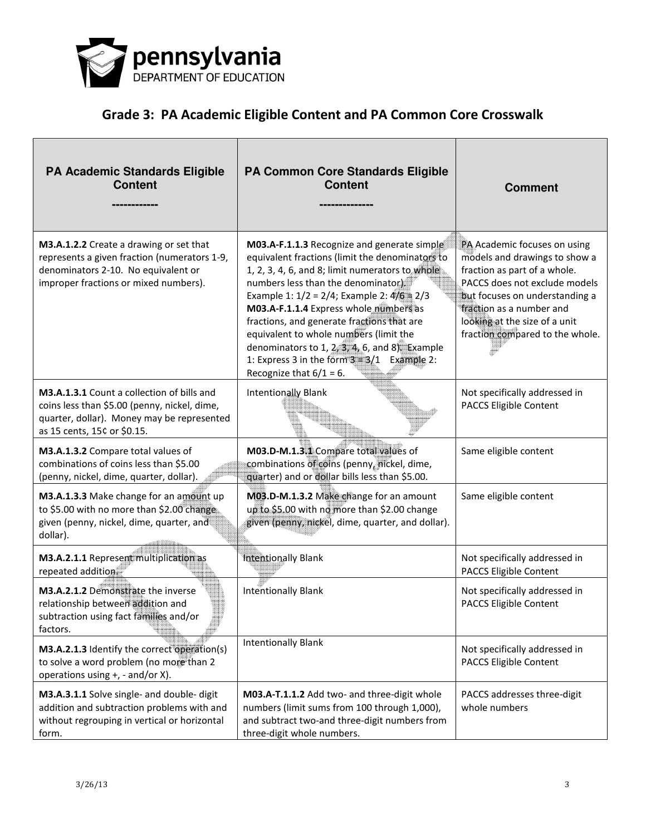

| <b>PA Academic Standards Eligible</b><br><b>Content</b>                                                                                                                 | PA Common Core Standards Eligible<br><b>Content</b>                                                                                                                                                                                                                                                                                                                                                                                                                                                              | <b>Comment</b>                                                                                                                                                                                                                                                   |
|-------------------------------------------------------------------------------------------------------------------------------------------------------------------------|------------------------------------------------------------------------------------------------------------------------------------------------------------------------------------------------------------------------------------------------------------------------------------------------------------------------------------------------------------------------------------------------------------------------------------------------------------------------------------------------------------------|------------------------------------------------------------------------------------------------------------------------------------------------------------------------------------------------------------------------------------------------------------------|
| M3.A.1.2.2 Create a drawing or set that<br>represents a given fraction (numerators 1-9,<br>denominators 2-10. No equivalent or<br>improper fractions or mixed numbers). | M03.A-F.1.1.3 Recognize and generate simple<br>equivalent fractions (limit the denominators to<br>1, 2, 3, 4, 6, and 8; limit numerators to whole<br>numbers less than the denominator)<br>Example 1: $1/2 = 2/4$ ; Example 2: $4/6 = 2/3$<br>M03.A-F.1.1.4 Express whole numbers as<br>fractions, and generate fractions that are<br>equivalent to whole numbers (limit the<br>denominators to 1, $2, 3, 4, 6$ , and 8). Example<br>1: Express 3 in the form $3 = 3/1$ Example 2:<br>Recognize that $6/1 = 6$ . | PA Academic focuses on using<br>models and drawings to show a<br>fraction as part of a whole.<br>PACCS does not exclude models<br>but focuses on understanding a<br>fraction as a number and<br>looking at the size of a unit<br>fraction compared to the whole. |
| M3.A.1.3.1 Count a collection of bills and<br>coins less than \$5.00 (penny, nickel, dime,<br>quarter, dollar). Money may be represented<br>as 15 cents, 15¢ or \$0.15. | <b>Intentionally Blank</b>                                                                                                                                                                                                                                                                                                                                                                                                                                                                                       | Not specifically addressed in<br>PACCS Eligible Content                                                                                                                                                                                                          |
| M3.A.1.3.2 Compare total values of<br>combinations of coins less than \$5.00<br>(penny, nickel, dime, quarter, dollar)                                                  | M03.D-M.1.3.1 Compare total values of<br>combinations of coins (penny, nickel, dime,<br>quarter) and or dollar bills less than \$5.00.                                                                                                                                                                                                                                                                                                                                                                           | Same eligible content                                                                                                                                                                                                                                            |
| M3.A.1.3.3 Make change for an amount up<br>to \$5.00 with no more than \$2.00 change<br>given (penny, nickel, dime, quarter, and<br>dollar).                            | M03.D-M.1.3.2 Make change for an amount<br>up to \$5.00 with no more than \$2.00 change<br>given (penny, nickel, dime, quarter, and dollar).                                                                                                                                                                                                                                                                                                                                                                     | Same eligible content                                                                                                                                                                                                                                            |
| M3.A.2.1.1 Represent multiplication as<br>repeated addition.                                                                                                            | <b>Intentionally Blank</b>                                                                                                                                                                                                                                                                                                                                                                                                                                                                                       | Not specifically addressed in<br>PACCS Eligible Content                                                                                                                                                                                                          |
| M3.A.2.1.2 Demonstrate the inverse<br>relationship between addition and<br>subtraction using fact families and/or<br>factors.                                           | Intentionally Blank                                                                                                                                                                                                                                                                                                                                                                                                                                                                                              | Not specifically addressed in<br><b>PACCS Eligible Content</b>                                                                                                                                                                                                   |
| M3.A.2.1.3 Identify the correct operation(s)<br>to solve a word problem (no more than 2<br>operations using +, - and/or X).                                             | <b>Intentionally Blank</b>                                                                                                                                                                                                                                                                                                                                                                                                                                                                                       | Not specifically addressed in<br>PACCS Eligible Content                                                                                                                                                                                                          |
| M3.A.3.1.1 Solve single- and double- digit<br>addition and subtraction problems with and<br>without regrouping in vertical or horizontal<br>form.                       | M03.A-T.1.1.2 Add two- and three-digit whole<br>numbers (limit sums from 100 through 1,000),<br>and subtract two-and three-digit numbers from<br>three-digit whole numbers.                                                                                                                                                                                                                                                                                                                                      | PACCS addresses three-digit<br>whole numbers                                                                                                                                                                                                                     |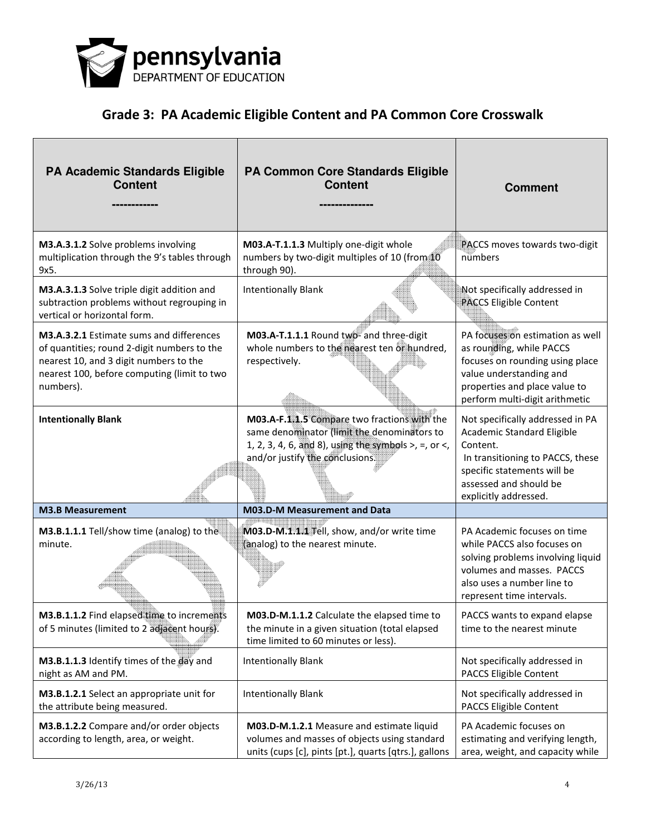

| PA Academic Standards Eligible<br><b>Content</b>                                                                                                                                              | PA Common Core Standards Eligible<br><b>Content</b>                                                                                                                                       | <b>Comment</b>                                                                                                                                                                                          |
|-----------------------------------------------------------------------------------------------------------------------------------------------------------------------------------------------|-------------------------------------------------------------------------------------------------------------------------------------------------------------------------------------------|---------------------------------------------------------------------------------------------------------------------------------------------------------------------------------------------------------|
| M3.A.3.1.2 Solve problems involving<br>multiplication through the 9's tables through<br>9x5.                                                                                                  | M03.A-T.1.1.3 Multiply one-digit whole<br>numbers by two-digit multiples of 10 (from 10<br>through 90).                                                                                   | PACCS moves towards two-digit<br>numbers                                                                                                                                                                |
| M3.A.3.1.3 Solve triple digit addition and<br>subtraction problems without regrouping in<br>vertical or horizontal form.                                                                      | <b>Intentionally Blank</b>                                                                                                                                                                | Not specifically addressed in<br><b>PACCS Eligible Content</b>                                                                                                                                          |
| M3.A.3.2.1 Estimate sums and differences<br>of quantities; round 2-digit numbers to the<br>nearest 10, and 3 digit numbers to the<br>nearest 100, before computing (limit to two<br>numbers). | M03.A-T.1.1.1 Round two-and three-digit<br>whole numbers to the nearest ten or hundred,<br>respectively.                                                                                  | PA focuses on estimation as well<br>as rounding, while PACCS<br>focuses on rounding using place<br>value understanding and<br>properties and place value to<br>perform multi-digit arithmetic           |
| <b>Intentionally Blank</b>                                                                                                                                                                    | M03.A-F.1.1.5 Compare two fractions with the<br>same denominator (limit the denominators to<br>1, 2, 3, 4, 6, and 8), using the symbols $>$ , =, or <,<br>and/or justify the conclusions. | Not specifically addressed in PA<br><b>Academic Standard Eligible</b><br>Content.<br>In transitioning to PACCS, these<br>specific statements will be<br>assessed and should be<br>explicitly addressed. |
| <b>M3.B Measurement</b>                                                                                                                                                                       | <b>M03.D-M Measurement and Data</b>                                                                                                                                                       |                                                                                                                                                                                                         |
| M3.B.1.1.1 Tell/show time (analog) to the<br>minute.                                                                                                                                          | M03.D-M.1.1.1 Tell, show, and/or write time<br>(analog) to the nearest minute.                                                                                                            | PA Academic focuses on time<br>while PACCS also focuses on<br>solving problems involving liquid<br>volumes and masses. PACCS<br>also uses a number line to<br>represent time intervals.                 |
| M3.B.1.1.2 Find elapsed time to increments<br>of 5 minutes (limited to 2 adjacent hours).                                                                                                     | M03.D-M.1.1.2 Calculate the elapsed time to<br>the minute in a given situation (total elapsed<br>time limited to 60 minutes or less).                                                     | PACCS wants to expand elapse<br>time to the nearest minute                                                                                                                                              |
| M3.B.1.1.3 Identify times of the day and<br>night as AM and PM.                                                                                                                               | <b>Intentionally Blank</b>                                                                                                                                                                | Not specifically addressed in<br>PACCS Eligible Content                                                                                                                                                 |
| M3.B.1.2.1 Select an appropriate unit for<br>the attribute being measured.                                                                                                                    | <b>Intentionally Blank</b>                                                                                                                                                                | Not specifically addressed in<br>PACCS Eligible Content                                                                                                                                                 |
| M3.B.1.2.2 Compare and/or order objects<br>according to length, area, or weight.                                                                                                              | M03.D-M.1.2.1 Measure and estimate liquid<br>volumes and masses of objects using standard<br>units (cups [c], pints [pt.], quarts [qtrs.], gallons                                        | PA Academic focuses on<br>estimating and verifying length,<br>area, weight, and capacity while                                                                                                          |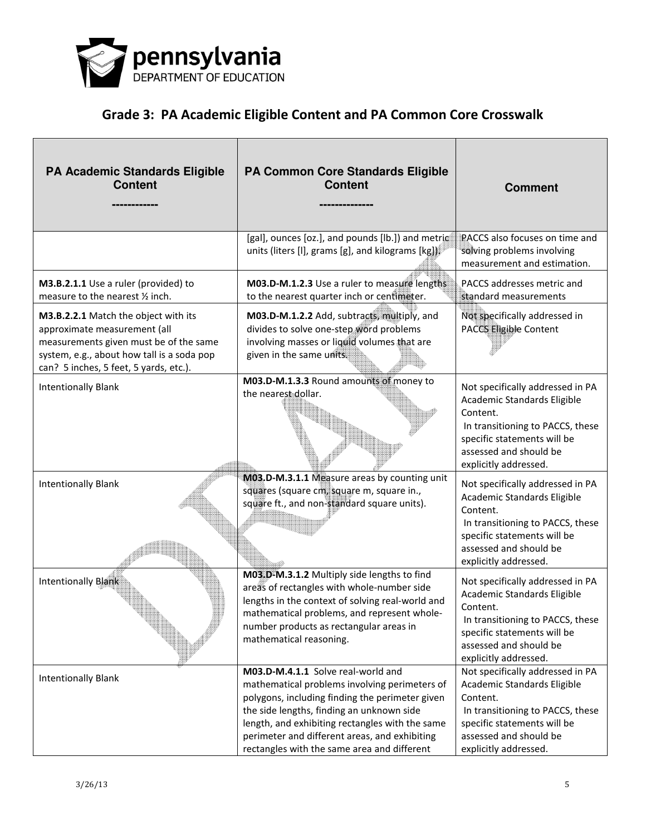

| <b>PA Academic Standards Eligible</b><br><b>Content</b>                                                                                                                                                | PA Common Core Standards Eligible<br><b>Content</b>                                                                                                                                                                                                                                                                                    | <b>Comment</b>                                                                                                                                                                                    |
|--------------------------------------------------------------------------------------------------------------------------------------------------------------------------------------------------------|----------------------------------------------------------------------------------------------------------------------------------------------------------------------------------------------------------------------------------------------------------------------------------------------------------------------------------------|---------------------------------------------------------------------------------------------------------------------------------------------------------------------------------------------------|
|                                                                                                                                                                                                        | [gal], ounces [oz.], and pounds [lb.]) and metric<br>units (liters [I], grams [g], and kilograms [kg].                                                                                                                                                                                                                                 | PACCS also focuses on time and<br>solving problems involving<br>measurement and estimation.                                                                                                       |
| M3.B.2.1.1 Use a ruler (provided) to<br>measure to the nearest 1/2 inch.                                                                                                                               | M03.D-M.1.2.3 Use a ruler to measure lengths<br>to the nearest quarter inch or centimeter.                                                                                                                                                                                                                                             | PACCS addresses metric and<br>standard measurements                                                                                                                                               |
| M3.B.2.2.1 Match the object with its<br>approximate measurement (all<br>measurements given must be of the same<br>system, e.g., about how tall is a soda pop<br>can? 5 inches, 5 feet, 5 yards, etc.). | M03.D-M.1.2.2 Add, subtracts, multiply, and<br>divides to solve one-step word problems<br>involving masses or liquid volumes that are<br>given in the same units.                                                                                                                                                                      | Not specifically addressed in<br>PACCS Eligible Content                                                                                                                                           |
| <b>Intentionally Blank</b>                                                                                                                                                                             | M03.D-M.1.3.3 Round amounts of money to<br>the nearest dollar.                                                                                                                                                                                                                                                                         | Not specifically addressed in PA<br>Academic Standards Eligible<br>Content.<br>In transitioning to PACCS, these<br>specific statements will be<br>assessed and should be<br>explicitly addressed. |
| <b>Intentionally Blank</b>                                                                                                                                                                             | M03.D-M.3.1.1 Measure areas by counting unit<br>squares (square cm, square m, square in.,<br>square ft., and non-standard square units).                                                                                                                                                                                               | Not specifically addressed in PA<br>Academic Standards Eligible<br>Content.<br>In transitioning to PACCS, these<br>specific statements will be<br>assessed and should be<br>explicitly addressed. |
| <b>Intentionally Blank</b>                                                                                                                                                                             | M03.D-M.3.1.2 Multiply side lengths to find<br>areas of rectangles with whole-number side<br>lengths in the context of solving real-world and<br>mathematical problems, and represent whole-<br>number products as rectangular areas in<br>mathematical reasoning.                                                                     | Not specifically addressed in PA<br>Academic Standards Eligible<br>Content.<br>In transitioning to PACCS, these<br>specific statements will be<br>assessed and should be<br>explicitly addressed. |
| <b>Intentionally Blank</b>                                                                                                                                                                             | M03.D-M.4.1.1 Solve real-world and<br>mathematical problems involving perimeters of<br>polygons, including finding the perimeter given<br>the side lengths, finding an unknown side<br>length, and exhibiting rectangles with the same<br>perimeter and different areas, and exhibiting<br>rectangles with the same area and different | Not specifically addressed in PA<br>Academic Standards Eligible<br>Content.<br>In transitioning to PACCS, these<br>specific statements will be<br>assessed and should be<br>explicitly addressed. |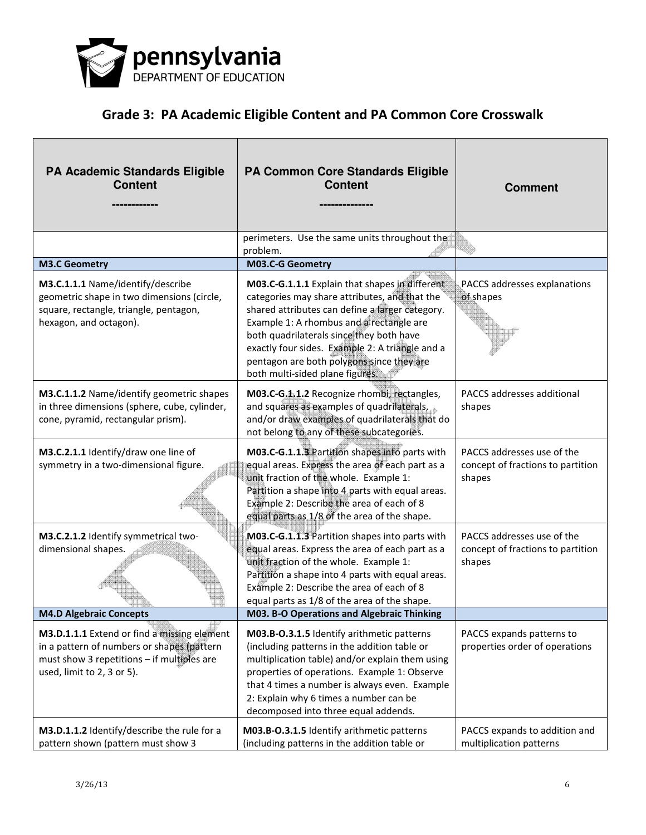

| <b>PA Academic Standards Eligible</b><br><b>Content</b>                                                                                                               | PA Common Core Standards Eligible<br><b>Content</b>                                                                                                                                                                                                                                                                                                                           | <b>Comment</b>                                                            |
|-----------------------------------------------------------------------------------------------------------------------------------------------------------------------|-------------------------------------------------------------------------------------------------------------------------------------------------------------------------------------------------------------------------------------------------------------------------------------------------------------------------------------------------------------------------------|---------------------------------------------------------------------------|
|                                                                                                                                                                       | perimeters. Use the same units throughout the<br>problem.                                                                                                                                                                                                                                                                                                                     |                                                                           |
| <b>M3.C Geometry</b>                                                                                                                                                  | M03.C-G Geometry                                                                                                                                                                                                                                                                                                                                                              |                                                                           |
| M3.C.1.1.1 Name/identify/describe<br>geometric shape in two dimensions (circle,<br>square, rectangle, triangle, pentagon,<br>hexagon, and octagon).                   | M03.C-G.1.1.1 Explain that shapes in different<br>categories may share attributes, and that the<br>shared attributes can define a larger category.<br>Example 1: A rhombus and a rectangle are<br>both quadrilaterals since they both have<br>exactly four sides. Example 2: A triangle and a<br>pentagon are both polygons since they are<br>both multi-sided plane figures. | PACCS addresses explanations<br>of shapes                                 |
| M3.C.1.1.2 Name/identify geometric shapes<br>in three dimensions (sphere, cube, cylinder,<br>cone, pyramid, rectangular prism).                                       | M03.C-G.1.1.2 Recognize rhombi, rectangles,<br>and squares as examples of quadrilaterals,<br>and/or draw examples of quadrilaterals that do<br>not belong to any of these subcategories.                                                                                                                                                                                      | PACCS addresses additional<br>shapes                                      |
| M3.C.2.1.1 Identify/draw one line of<br>symmetry in a two-dimensional figure.                                                                                         | M03.C-G.1.1.3 Partition shapes into parts with<br>equal areas. Express the area of each part as a<br>unit fraction of the whole. Example 1:<br>Partition a shape into 4 parts with equal areas.<br>Example 2: Describe the area of each of 8<br>equal parts as 1/8 of the area of the shape.                                                                                  | PACCS addresses use of the<br>concept of fractions to partition<br>shapes |
| M3.C.2.1.2 Identify symmetrical two-<br>dimensional shapes.                                                                                                           | M03.C-G.1.1.3 Partition shapes into parts with<br>equal areas. Express the area of each part as a<br>unit fraction of the whole. Example 1:<br>Partition a shape into 4 parts with equal areas.<br>Example 2: Describe the area of each of 8<br>equal parts as 1/8 of the area of the shape.                                                                                  | PACCS addresses use of the<br>concept of fractions to partition<br>shapes |
| <b>M4.D Algebraic Concepts</b>                                                                                                                                        | <b>M03. B-O Operations and Algebraic Thinking</b>                                                                                                                                                                                                                                                                                                                             |                                                                           |
| M3.D.1.1.1 Extend or find a missing element<br>in a pattern of numbers or shapes (pattern<br>must show 3 repetitions - if multiples are<br>used, limit to 2, 3 or 5). | M03.B-O.3.1.5 Identify arithmetic patterns<br>(including patterns in the addition table or<br>multiplication table) and/or explain them using<br>properties of operations. Example 1: Observe<br>that 4 times a number is always even. Example<br>2: Explain why 6 times a number can be<br>decomposed into three equal addends.                                              | PACCS expands patterns to<br>properties order of operations               |
| M3.D.1.1.2 Identify/describe the rule for a<br>pattern shown (pattern must show 3                                                                                     | M03.B-O.3.1.5 Identify arithmetic patterns<br>(including patterns in the addition table or                                                                                                                                                                                                                                                                                    | PACCS expands to addition and<br>multiplication patterns                  |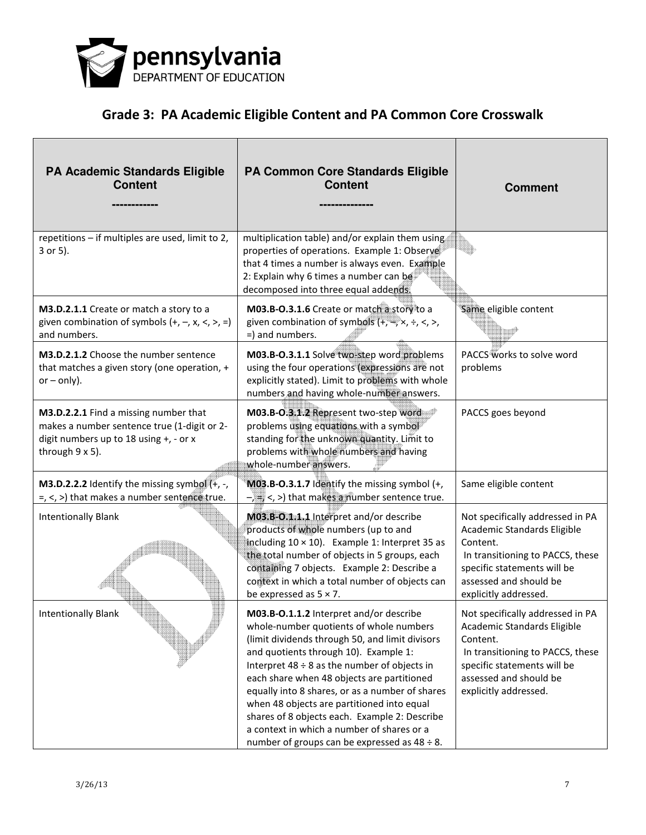

| PA Academic Standards Eligible<br><b>Content</b>                                                                                                  | PA Common Core Standards Eligible<br><b>Content</b>                                                                                                                                                                                                                                                                                                                                                                                                                                                                                     | <b>Comment</b>                                                                                                                                                                                    |
|---------------------------------------------------------------------------------------------------------------------------------------------------|-----------------------------------------------------------------------------------------------------------------------------------------------------------------------------------------------------------------------------------------------------------------------------------------------------------------------------------------------------------------------------------------------------------------------------------------------------------------------------------------------------------------------------------------|---------------------------------------------------------------------------------------------------------------------------------------------------------------------------------------------------|
| repetitions - if multiples are used, limit to 2,<br>3 or 5).                                                                                      | multiplication table) and/or explain them using<br>properties of operations. Example 1: Observe<br>that 4 times a number is always even. Example<br>2: Explain why 6 times a number can be<br>decomposed into three equal addends.                                                                                                                                                                                                                                                                                                      |                                                                                                                                                                                                   |
| M3.D.2.1.1 Create or match a story to a<br>given combination of symbols $(+, -, x, <, >, =)$<br>and numbers.                                      | M03.B-O.3.1.6 Create or match a story to a<br>given combination of symbols $(+, \xrightarrow{+} \times, \div, <, >)$<br>=) and numbers.                                                                                                                                                                                                                                                                                                                                                                                                 | Same eligible content                                                                                                                                                                             |
| M3.D.2.1.2 Choose the number sentence<br>that matches a given story (one operation, +<br>$or - only$ ).                                           | M03.B-O.3.1.1 Solve two-step word problems<br>using the four operations (expressions are not<br>explicitly stated). Limit to problems with whole<br>numbers and having whole-number answers.                                                                                                                                                                                                                                                                                                                                            | PACCS works to solve word<br>problems                                                                                                                                                             |
| M3.D.2.2.1 Find a missing number that<br>makes a number sentence true (1-digit or 2-<br>digit numbers up to 18 using +, - or x<br>through 9 x 5). | M03.B-O.3.1.2 Represent two-step word<br>problems using equations with a symbol<br>standing for the unknown quantity. Limit to<br>problems with whole numbers and having<br>whole-number answers.                                                                                                                                                                                                                                                                                                                                       | PACCS goes beyond                                                                                                                                                                                 |
| <b>M3.D.2.2.2</b> Identify the missing symbol $(+, -,$<br>$=$ , <, >) that makes a number sentence true.                                          | M03.B-O.3.1.7 Identify the missing symbol (+,<br>$-\sqrt{2}$ , $\leq$ , $>$ ) that makes a number sentence true.                                                                                                                                                                                                                                                                                                                                                                                                                        | Same eligible content                                                                                                                                                                             |
| <b>Intentionally Blank</b>                                                                                                                        | M03.B-O.1.1.1 Interpret and/or describe<br>products of whole numbers (up to and<br>including $10 \times 10$ ). Example 1: Interpret 35 as<br>the total number of objects in 5 groups, each<br>containing 7 objects. Example 2: Describe a<br>context in which a total number of objects can<br>be expressed as $5 \times 7$ .                                                                                                                                                                                                           | Not specifically addressed in PA<br>Academic Standards Eligible<br>Content.<br>In transitioning to PACCS, these<br>specific statements will be<br>assessed and should be<br>explicitly addressed. |
| <b>Intentionally Blank</b>                                                                                                                        | M03.B-O.1.1.2 Interpret and/or describe<br>whole-number quotients of whole numbers<br>(limit dividends through 50, and limit divisors<br>and quotients through 10). Example 1:<br>Interpret $48 \div 8$ as the number of objects in<br>each share when 48 objects are partitioned<br>equally into 8 shares, or as a number of shares<br>when 48 objects are partitioned into equal<br>shares of 8 objects each. Example 2: Describe<br>a context in which a number of shares or a<br>number of groups can be expressed as $48 \div 8$ . | Not specifically addressed in PA<br>Academic Standards Eligible<br>Content.<br>In transitioning to PACCS, these<br>specific statements will be<br>assessed and should be<br>explicitly addressed. |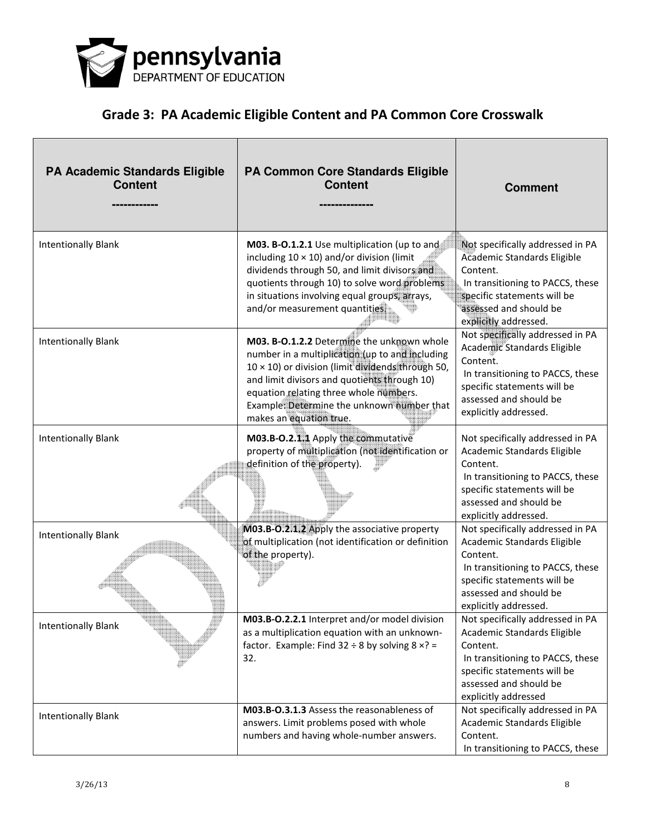

| <b>PA Academic Standards Eligible</b><br><b>Content</b> | PA Common Core Standards Eligible<br><b>Content</b>                                                                                                                                                                                                                                                                           | <b>Comment</b>                                                                                                                                                                                    |
|---------------------------------------------------------|-------------------------------------------------------------------------------------------------------------------------------------------------------------------------------------------------------------------------------------------------------------------------------------------------------------------------------|---------------------------------------------------------------------------------------------------------------------------------------------------------------------------------------------------|
| <b>Intentionally Blank</b>                              | M03. B-O.1.2.1 Use multiplication (up to and<br>including $10 \times 10$ ) and/or division (limit<br>dividends through 50, and limit divisors and<br>quotients through 10) to solve word problems<br>in situations involving equal groups, arrays,<br>and/or measurement quantities.                                          | Not specifically addressed in PA<br>Academic Standards Eligible<br>Content.<br>In transitioning to PACCS, these<br>specific statements will be<br>assessed and should be<br>explicitly addressed. |
| <b>Intentionally Blank</b>                              | M03. B-O.1.2.2 Determine the unknown whole<br>number in a multiplication (up to and including<br>$10 \times 10$ ) or division (limit dividends through 50,<br>and limit divisors and quotients through 10)<br>equation relating three whole numbers.<br>Example: Determine the unknown number that<br>makes an equation true. | Not specifically addressed in PA<br>Academic Standards Eligible<br>Content.<br>In transitioning to PACCS, these<br>specific statements will be<br>assessed and should be<br>explicitly addressed. |
| <b>Intentionally Blank</b>                              | M03.B-O.2.1.1 Apply the commutative<br>property of multiplication (not identification or<br>definition of the property).                                                                                                                                                                                                      | Not specifically addressed in PA<br>Academic Standards Eligible<br>Content.<br>In transitioning to PACCS, these<br>specific statements will be<br>assessed and should be<br>explicitly addressed. |
| <b>Intentionally Blank</b>                              | M03.B-O.2.1.2 Apply the associative property<br>of multiplication (not identification or definition<br>of the property).                                                                                                                                                                                                      | Not specifically addressed in PA<br>Academic Standards Eligible<br>Content.<br>In transitioning to PACCS, these<br>specific statements will be<br>assessed and should be<br>explicitly addressed. |
| <b>Intentionally Blank</b>                              | M03.B-O.2.2.1 Interpret and/or model division<br>as a multiplication equation with an unknown-<br>factor. Example: Find $32 \div 8$ by solving $8 \times ? =$<br>32.                                                                                                                                                          | Not specifically addressed in PA<br>Academic Standards Eligible<br>Content.<br>In transitioning to PACCS, these<br>specific statements will be<br>assessed and should be<br>explicitly addressed  |
| <b>Intentionally Blank</b>                              | M03.B-O.3.1.3 Assess the reasonableness of<br>answers. Limit problems posed with whole<br>numbers and having whole-number answers.                                                                                                                                                                                            | Not specifically addressed in PA<br>Academic Standards Eligible<br>Content.<br>In transitioning to PACCS, these                                                                                   |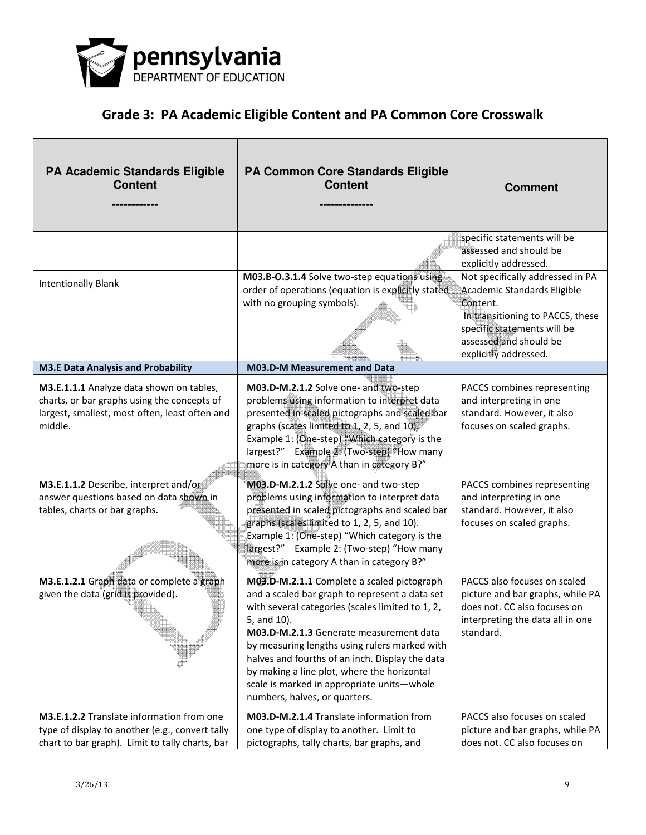

| PA Academic Standards Eligible<br><b>Content</b>                                                                                                                                                                                                                          | <b>PA Common Core Standards Eligible</b><br><b>Content</b>                                                                                                                                                                                                                                                                                                                                                                                                                                                                 | <b>Comment</b>                                                                                                                                                                                                                         |
|---------------------------------------------------------------------------------------------------------------------------------------------------------------------------------------------------------------------------------------------------------------------------|----------------------------------------------------------------------------------------------------------------------------------------------------------------------------------------------------------------------------------------------------------------------------------------------------------------------------------------------------------------------------------------------------------------------------------------------------------------------------------------------------------------------------|----------------------------------------------------------------------------------------------------------------------------------------------------------------------------------------------------------------------------------------|
|                                                                                                                                                                                                                                                                           |                                                                                                                                                                                                                                                                                                                                                                                                                                                                                                                            | specific statements will be<br>assessed and should be<br>explicitly addressed.                                                                                                                                                         |
| <b>Intentionally Blank</b>                                                                                                                                                                                                                                                | M03.B-O.3.1.4 Solve two-step equations using<br>order of operations (equation is explicitly stated<br>with no grouping symbols).                                                                                                                                                                                                                                                                                                                                                                                           | Not specifically addressed in PA<br>Academic Standards Eligible<br>Content.<br>In transitioning to PACCS, these<br>specific statements will be<br>assessed and should be<br>explicitly addressed.                                      |
| <b>M3.E Data Analysis and Probability</b>                                                                                                                                                                                                                                 | M03.D-M Measurement and Data                                                                                                                                                                                                                                                                                                                                                                                                                                                                                               |                                                                                                                                                                                                                                        |
| M3.E.1.1.1 Analyze data shown on tables,<br>charts, or bar graphs using the concepts of<br>largest, smallest, most often, least often and<br>middle.<br>M3.E.1.1.2 Describe, interpret and/or<br>answer questions based on data shown in<br>tables, charts or bar graphs. | M03.D-M.2.1.2 Solve one- and two-step<br>problems using information to interpret data<br>presented in scaled pictographs and scaled bar<br>graphs (scales limited to 1, 2, 5, and 10)<br>Example 1: (One-step) "Which category is the<br>largest?" Example 2. (Two-step) "How many<br>more is in category A than in category B?"<br>M03.D-M.2.1.2 Solve one- and two-step<br>problems using information to interpret data<br>presented in scaled pictographs and scaled bar<br>graphs (scales limited to 1, 2, 5, and 10). | PACCS combines representing<br>and interpreting in one<br>standard. However, it also<br>focuses on scaled graphs.<br>PACCS combines representing<br>and interpreting in one<br>standard. However, it also<br>focuses on scaled graphs. |
|                                                                                                                                                                                                                                                                           | Example 1: (One-step) "Which category is the<br>largest?" Example 2: (Two-step) "How many<br>more is in category A than in category B?"                                                                                                                                                                                                                                                                                                                                                                                    |                                                                                                                                                                                                                                        |
| M3.E.1.2.1 Graph data or complete a graph<br>given the data (grid is provided).                                                                                                                                                                                           | M03.D-M.2.1.1 Complete a scaled pictograph<br>and a scaled bar graph to represent a data set<br>with several categories (scales limited to 1, 2,<br>5, and 10).<br>M03.D-M.2.1.3 Generate measurement data<br>by measuring lengths using rulers marked with<br>halves and fourths of an inch. Display the data<br>by making a line plot, where the horizontal<br>scale is marked in appropriate units-whole<br>numbers, halves, or quarters.                                                                               | PACCS also focuses on scaled<br>picture and bar graphs, while PA<br>does not. CC also focuses on<br>interpreting the data all in one<br>standard.                                                                                      |
| <b>M3.E.1.2.2</b> Translate information from one<br>type of display to another (e.g., convert tally<br>chart to bar graph). Limit to tally charts, bar                                                                                                                    | M03.D-M.2.1.4 Translate information from<br>one type of display to another. Limit to<br>pictographs, tally charts, bar graphs, and                                                                                                                                                                                                                                                                                                                                                                                         | PACCS also focuses on scaled<br>picture and bar graphs, while PA<br>does not. CC also focuses on                                                                                                                                       |